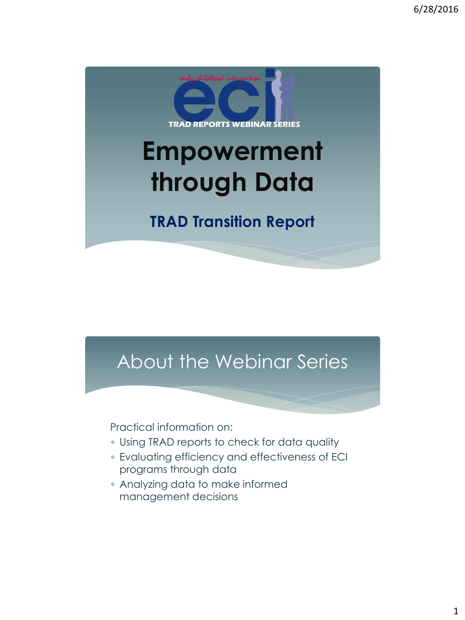

### About the Webinar Series

Practical information on:

- Using TRAD reports to check for data quality
- Evaluating efficiency and effectiveness of ECI programs through data
- Analyzing data to make informed management decisions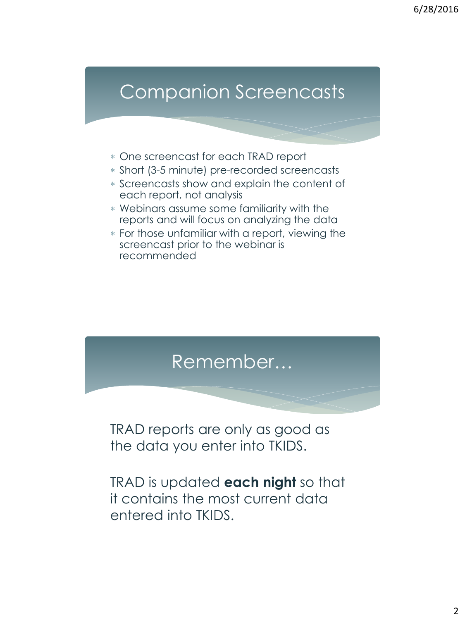### Companion Screencasts

- One screencast for each TRAD report
- Short (3-5 minute) pre-recorded screencasts
- Screencasts show and explain the content of each report, not analysis
- Webinars assume some familiarity with the reports and will focus on analyzing the data
- For those unfamiliar with a report, viewing the screencast prior to the webinar is recommended



TRAD is updated **each night** so that it contains the most current data entered into TKIDS.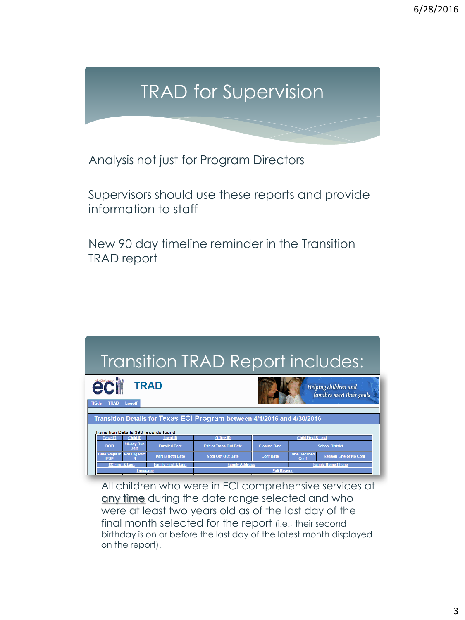# TRAD for Supervision

Analysis not just for Program Directors

Supervisors should use these reports and provide information to staff

New 90 day timeline reminder in the Transition TRAD report



All children who were in ECI comprehensive services at any time during the date range selected and who were at least two years old as of the last day of the final month selected for the report (i.e., their second birthday is on or before the last day of the latest month displayed on the report).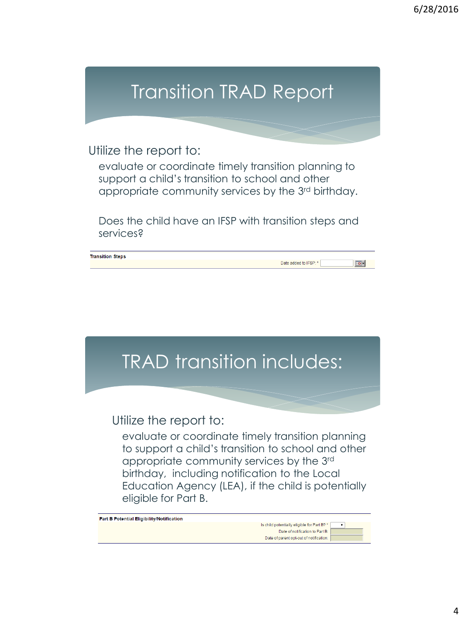# Transition TRAD Report

Utilize the report to:

evaluate or coordinate timely transition planning to support a child's transition to school and other appropriate community services by the 3rd birthday.

Does the child have an IFSP with transition steps and services?

|  | <b>Transition Steps</b> |
|--|-------------------------|
|  |                         |

TRAD transition includes:

Utilize the report to:

evaluate or coordinate timely transition planning to support a child's transition to school and other appropriate community services by the 3rd birthday, including notification to the Local Education Agency (LEA), if the child is potentially eligible for Part B.

Part B Potential Eligibility/Notification

s child potentially eligible for Part B? ' Date of notification to Part B: Date of parent opt-out of notification:

Date added to IFSP: \*

 $\boxed{\circ}$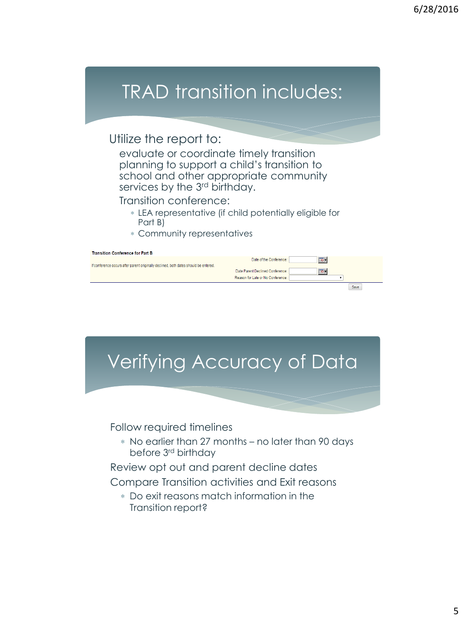## TRAD transition includes:

#### Utilize the report to:

evaluate or coordinate timely transition planning to support a child's transition to school and other appropriate community services by the 3<sup>rd</sup> birthday.

Transition conference:

- LEA representative (if child potentially eligible for Part B)
- Community representatives

| <b>Transition Conference for Part B</b>                                              |                                   |                      |
|--------------------------------------------------------------------------------------|-----------------------------------|----------------------|
|                                                                                      | Date of the Conference:           | $\overline{\bullet}$ |
| If conference occurs after parent originally declined, both dates should be entered. |                                   |                      |
|                                                                                      | Date Parent Declined Conference:  | $\boxed{\circ}$ .    |
|                                                                                      | Reason for Late or No Conference: |                      |
|                                                                                      |                                   | Save                 |

# Verifying Accuracy of Data

Follow required timelines

 No earlier than 27 months – no later than 90 days before 3rd birthday

Review opt out and parent decline dates

Compare Transition activities and Exit reasons

 Do exit reasons match information in the Transition report?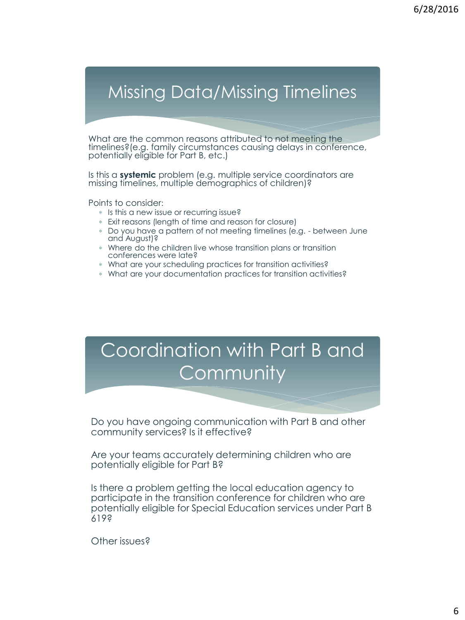### Missing Data/Missing Timelines

What are the common reasons attributed to not meeting the timelines?(e.g. family circumstances causing delays in conference, potentially eligible for Part B, etc.)

Is this a **systemic** problem (e.g. multiple service coordinators are missing timelines, multiple demographics of children)?

Points to consider:

- \* Is this a new issue or recurring issue?
- Exit reasons (length of time and reason for closure)
- Do you have a pattern of not meeting timelines (e.g. between June and August)?
- Where do the children live whose transition plans or transition conferences were late?
- What are your scheduling practices for transition activities?
- What are your documentation practices for transition activities?

## Coordination with Part B and **Community**

Do you have ongoing communication with Part B and other community services? Is it effective?

Are your teams accurately determining children who are potentially eligible for Part B?

Is there a problem getting the local education agency to participate in the transition conference for children who are potentially eligible for Special Education services under Part B 619?

Other issues?